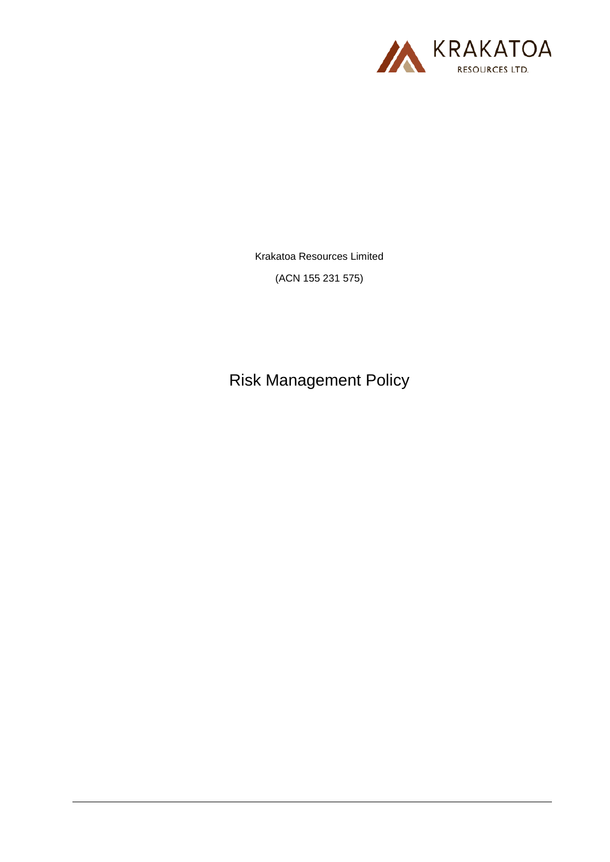

Krakatoa Resources Limited

(ACN 155 231 575)

Risk Management Policy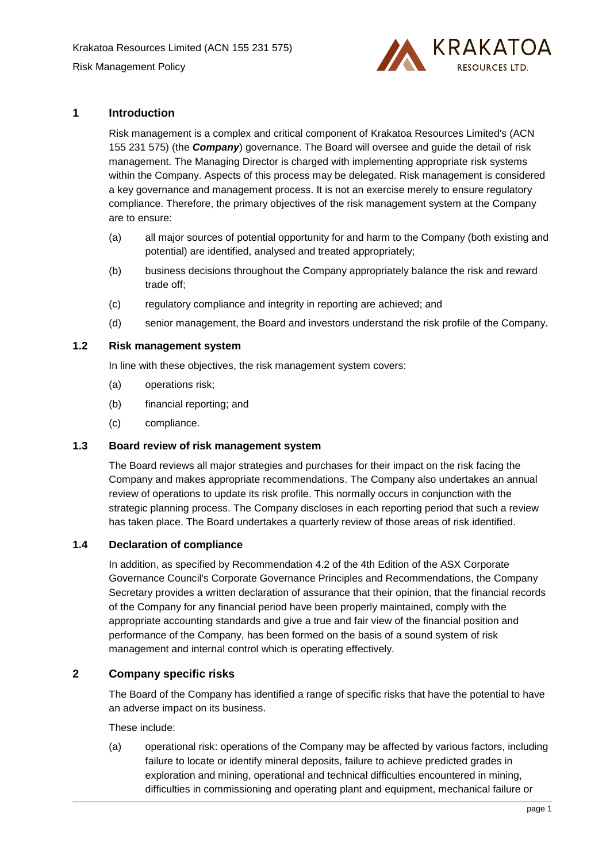

## **1 Introduction**

Risk management is a complex and critical component of Krakatoa Resources Limited's (ACN 155 231 575) (the *Company*) governance. The Board will oversee and guide the detail of risk management. The Managing Director is charged with implementing appropriate risk systems within the Company. Aspects of this process may be delegated. Risk management is considered a key governance and management process. It is not an exercise merely to ensure regulatory compliance. Therefore, the primary objectives of the risk management system at the Company are to ensure:

- (a) all major sources of potential opportunity for and harm to the Company (both existing and potential) are identified, analysed and treated appropriately;
- (b) business decisions throughout the Company appropriately balance the risk and reward trade off;
- (c) regulatory compliance and integrity in reporting are achieved; and
- (d) senior management, the Board and investors understand the risk profile of the Company.

### **1.2 Risk management system**

In line with these objectives, the risk management system covers:

- (a) operations risk;
- (b) financial reporting; and
- (c) compliance.

### **1.3 Board review of risk management system**

The Board reviews all major strategies and purchases for their impact on the risk facing the Company and makes appropriate recommendations. The Company also undertakes an annual review of operations to update its risk profile. This normally occurs in conjunction with the strategic planning process. The Company discloses in each reporting period that such a review has taken place. The Board undertakes a quarterly review of those areas of risk identified.

# **1.4 Declaration of compliance**

In addition, as specified by Recommendation 4.2 of the 4th Edition of the ASX Corporate Governance Council's Corporate Governance Principles and Recommendations, the Company Secretary provides a written declaration of assurance that their opinion, that the financial records of the Company for any financial period have been properly maintained, comply with the appropriate accounting standards and give a true and fair view of the financial position and performance of the Company, has been formed on the basis of a sound system of risk management and internal control which is operating effectively.

## **2 Company specific risks**

The Board of the Company has identified a range of specific risks that have the potential to have an adverse impact on its business.

These include:

(a) operational risk: operations of the Company may be affected by various factors, including failure to locate or identify mineral deposits, failure to achieve predicted grades in exploration and mining, operational and technical difficulties encountered in mining, difficulties in commissioning and operating plant and equipment, mechanical failure or